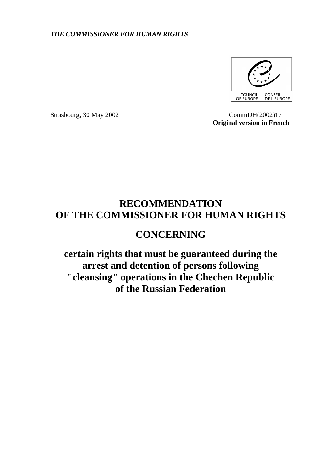## *THE COMMISSIONER FOR HUMAN RIGHTS*



**Strasbourg, 30 May 2002 CommDH**(2002)17  **Original version in French** 

## **RECOMMENDATION OF THE COMMISSIONER FOR HUMAN RIGHTS**

## **CONCERNING**

**certain rights that must be guaranteed during the arrest and detention of persons following "cleansing" operations in the Chechen Republic of the Russian Federation**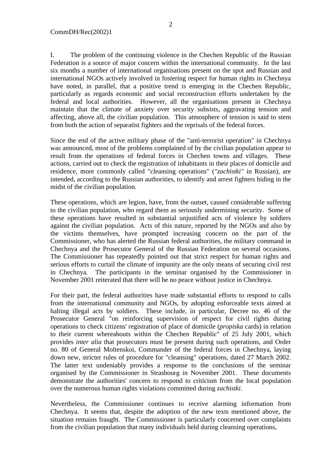I. The problem of the continuing violence in the Chechen Republic of the Russian Federation is a source of major concern within the international community. In the last six months a number of international organisations present on the spot and Russian and international NGOs actively involved in fostering respect for human rights in Chechnya have noted, in parallel, that a positive trend is emerging in the Chechen Republic, particularly as regards economic and social reconstruction efforts undertaken by the federal and local authorities. However, all the organisations present in Chechnya maintain that the climate of anxiety over security subsists, aggravating tension and affecting, above all, the civilian population. This atmosphere of tension is said to stem from both the action of separatist fighters and the reprisals of the federal forces.

Since the end of the active military phase of the "anti-terrorist operation" in Chechnya was announced, most of the problems complained of by the civilian population appear to result from the operations of federal forces in Chechen towns and villages. These actions, carried out to check the registration of inhabitants in their places of domicile and residence, more commonly called "cleansing operations" (*"zachistki"* in Russian), are intended, according to the Russian authorities, to identify and arrest fighters hiding in the midst of the civilian population.

These operations, which are legion, have, from the outset, caused considerable suffering to the civilian population, who regard them as seriously undermining security. Some of these operations have resulted in substantial unjustified acts of violence by soldiers against the civilian population. Acts of this nature, reported by the NGOs and also by the victims themselves, have prompted increasing concern on the part of the Commissioner, who has alerted the Russian federal authorities, the military command in Chechnya and the Prosecutor General of the Russian Federation on several occasions. The Commissioner has repeatedly pointed out that strict respect for human rights and serious efforts to curtail the climate of impunity are the only means of securing civil rest in Chechnya. The participants in the seminar organised by the Commissioner in November 2001 reiterated that there will be no peace without justice in Chechnya.

For their part, the federal authorities have made substantial efforts to respond to calls from the international community and NGOs, by adopting enforceable texts aimed at halting illegal acts by soldiers. These include, in particular, Decree no. 46 of the Prosecutor General "on reinforcing supervision of respect for civil rights during operations to check citizens' registration of place of domicile (*propiska* cards) in relation to their current whereabouts within the Chechen Republic" of 25 July 2001, which provides *inter alia* that prosecutors must be present during such operations, and Order no. 80 of General Moltenskoi, Commander of the federal forces in Chechnya, laying down new, stricter rules of procedure for "cleansing" operations, dated 27 March 2002. The latter text undeniably provides a response to the conclusions of the seminar organised by the Commissioner in Strasbourg in November 2001. These documents demonstrate the authorities' concern to respond to criticism from the local population over the numerous human rights violations committed during *zachistki*.

Nevertheless, the Commissioner continues to receive alarming information from Chechnya. It seems that, despite the adoption of the new texts mentioned above, the situation remains fraught. The Commissioner is particularly concerned over complaints from the civilian population that many individuals held during cleansing operations,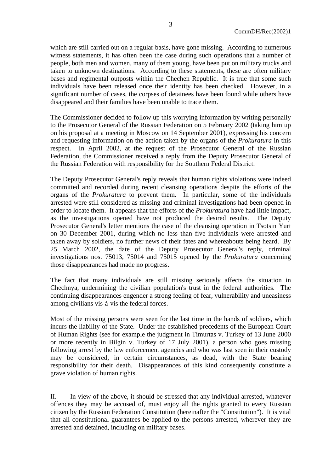which are still carried out on a regular basis, have gone missing. According to numerous witness statements, it has often been the case during such operations that a number of people, both men and women, many of them young, have been put on military trucks and taken to unknown destinations. According to these statements, these are often military bases and regimental outposts within the Chechen Republic. It is true that some such individuals have been released once their identity has been checked. However, in a significant number of cases, the corpses of detainees have been found while others have disappeared and their families have been unable to trace them.

The Commissioner decided to follow up this worrying information by writing personally to the Prosecutor General of the Russian Federation on 5 February 2002 (taking him up on his proposal at a meeting in Moscow on 14 September 2001), expressing his concern and requesting information on the action taken by the organs of the *Prokuratura* in this respect. In April 2002, at the request of the Prosecutor General of the Russian Federation, the Commissioner received a reply from the Deputy Prosecutor General of the Russian Federation with responsibility for the Southern Federal District.

The Deputy Prosecutor General's reply reveals that human rights violations were indeed committed and recorded during recent cleansing operations despite the efforts of the organs of the *Prokuratura* to prevent them. In particular, some of the individuals arrested were still considered as missing and criminal investigations had been opened in order to locate them. It appears that the efforts of the *Prokuratura* have had little impact, as the investigations opened have not produced the desired results. The Deputy Prosecutor General's letter mentions the case of the cleansing operation in Tsotsin Yurt on 30 December 2001, during which no less than five individuals were arrested and taken away by soldiers, no further news of their fates and whereabouts being heard. By 25 March 2002, the date of the Deputy Prosecutor General's reply, criminal investigations nos. 75013, 75014 and 75015 opened by the *Prokuratura* concerning those disappearances had made no progress.

The fact that many individuals are still missing seriously affects the situation in Chechnya, undermining the civilian population's trust in the federal authorities. The continuing disappearances engender a strong feeling of fear, vulnerability and uneasiness among civilians vis-à-vis the federal forces.

Most of the missing persons were seen for the last time in the hands of soldiers, which incurs the liability of the State. Under the established precedents of the European Court of Human Rights (see for example the judgment in Timurtas v. Turkey of 13 June 2000 or more recently in Bilgin v. Turkey of 17 July 2001), a person who goes missing following arrest by the law enforcement agencies and who was last seen in their custody may be considered, in certain circumstances, as dead, with the State bearing responsibility for their death. Disappearances of this kind consequently constitute a grave violation of human rights.

II. In view of the above, it should be stressed that any individual arrested, whatever offences they may be accused of, must enjoy all the rights granted to every Russian citizen by the Russian Federation Constitution (hereinafter the "Constitution"). It is vital that all constitutional guarantees be applied to the persons arrested, wherever they are arrested and detained, including on military bases.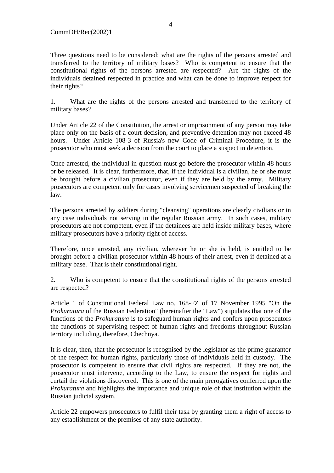Three questions need to be considered: what are the rights of the persons arrested and transferred to the territory of military bases? Who is competent to ensure that the constitutional rights of the persons arrested are respected? Are the rights of the individuals detained respected in practice and what can be done to improve respect for their rights?

1. What are the rights of the persons arrested and transferred to the territory of military bases?

Under Article 22 of the Constitution, the arrest or imprisonment of any person may take place only on the basis of a court decision, and preventive detention may not exceed 48 hours. Under Article 108-3 of Russia's new Code of Criminal Procedure, it is the prosecutor who must seek a decision from the court to place a suspect in detention.

Once arrested, the individual in question must go before the prosecutor within 48 hours or be released. It is clear, furthermore, that, if the individual is a civilian, he or she must be brought before a civilian prosecutor, even if they are held by the army. Military prosecutors are competent only for cases involving servicemen suspected of breaking the law.

The persons arrested by soldiers during "cleansing" operations are clearly civilians or in any case individuals not serving in the regular Russian army. In such cases, military prosecutors are not competent, even if the detainees are held inside military bases, where military prosecutors have a priority right of access.

Therefore, once arrested, any civilian, wherever he or she is held, is entitled to be brought before a civilian prosecutor within 48 hours of their arrest, even if detained at a military base. That is their constitutional right.

2. Who is competent to ensure that the constitutional rights of the persons arrested are respected?

Article 1 of Constitutional Federal Law no. 168-FZ of 17 November 1995 "On the *Prokuratura* of the Russian Federation" (hereinafter the "Law") stipulates that one of the functions of the *Prokuratura* is to safeguard human rights and confers upon prosecutors the functions of supervising respect of human rights and freedoms throughout Russian territory including, therefore, Chechnya.

It is clear, then, that the prosecutor is recognised by the legislator as the prime guarantor of the respect for human rights, particularly those of individuals held in custody. The prosecutor is competent to ensure that civil rights are respected. If they are not, the prosecutor must intervene, according to the Law, to ensure the respect for rights and curtail the violations discovered. This is one of the main prerogatives conferred upon the *Prokuratura* and highlights the importance and unique role of that institution within the Russian judicial system.

Article 22 empowers prosecutors to fulfil their task by granting them a right of access to any establishment or the premises of any state authority.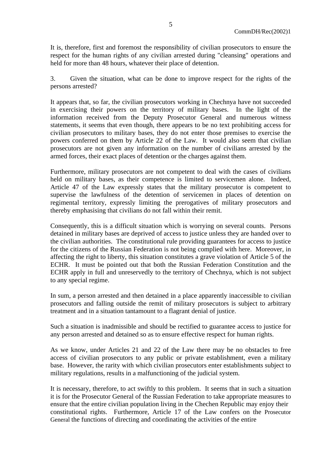It is, therefore, first and foremost the responsibility of civilian prosecutors to ensure the respect for the human rights of any civilian arrested during "cleansing" operations and held for more than 48 hours, whatever their place of detention.

3. Given the situation, what can be done to improve respect for the rights of the persons arrested?

It appears that, so far, the civilian prosecutors working in Chechnya have not succeeded in exercising their powers on the territory of military bases. In the light of the information received from the Deputy Prosecutor General and numerous witness statements, it seems that even though, there appears to be no text prohibiting access for civilian prosecutors to military bases, they do not enter those premises to exercise the powers conferred on them by Article 22 of the Law. It would also seem that civilian prosecutors are not given any information on the number of civilians arrested by the armed forces, their exact places of detention or the charges against them.

Furthermore, military prosecutors are not competent to deal with the cases of civilians held on military bases, as their competence is limited to servicemen alone. Indeed, Article 47 of the Law expressly states that the military prosecutor is competent to supervise the lawfulness of the detention of servicemen in places of detention on regimental territory, expressly limiting the prerogatives of military prosecutors and thereby emphasising that civilians do not fall within their remit.

Consequently, this is a difficult situation which is worrying on several counts. Persons detained in military bases are deprived of access to justice unless they are handed over to the civilian authorities. The constitutional rule providing guarantees for access to justice for the citizens of the Russian Federation is not being complied with here. Moreover, in affecting the right to liberty, this situation constitutes a grave violation of Article 5 of the ECHR. It must be pointed out that both the Russian Federation Constitution and the ECHR apply in full and unreservedly to the territory of Chechnya, which is not subject to any special regime.

In sum, a person arrested and then detained in a place apparently inaccessible to civilian prosecutors and falling outside the remit of military prosecutors is subject to arbitrary treatment and in a situation tantamount to a flagrant denial of justice.

Such a situation is inadmissible and should be rectified to guarantee access to justice for any person arrested and detained so as to ensure effective respect for human rights.

As we know, under Articles 21 and 22 of the Law there may be no obstacles to free access of civilian prosecutors to any public or private establishment, even a military base. However, the rarity with which civilian prosecutors enter establishments subject to military regulations, results in a malfunctioning of the judicial system.

It is necessary, therefore, to act swiftly to this problem. It seems that in such a situation it is for the Prosecutor General of the Russian Federation to take appropriate measures to ensure that the entire civilian population living in the Chechen Republic may enjoy their constitutional rights. Furthermore, Article 17 of the Law confers on the Prosecutor General the functions of directing and coordinating the activities of the entire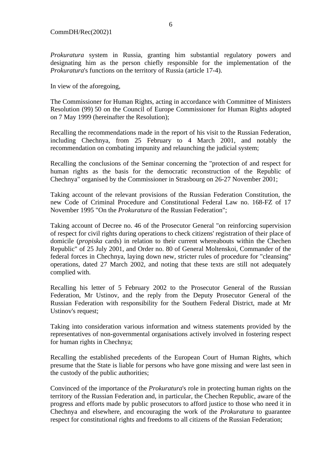*Prokuratura* system in Russia, granting him substantial regulatory powers and designating him as the person chiefly responsible for the implementation of the *Prokuratura*'s functions on the territory of Russia (article 17-4).

In view of the aforegoing,

The Commissioner for Human Rights, acting in accordance with Committee of Ministers Resolution (99) 50 on the Council of Europe Commissioner for Human Rights adopted on 7 May 1999 (hereinafter the Resolution);

Recalling the recommendations made in the report of his visit to the Russian Federation, including Chechnya, from 25 February to 4 March 2001, and notably the recommendation on combating impunity and relaunching the judicial system;

Recalling the conclusions of the Seminar concerning the "protection of and respect for human rights as the basis for the democratic reconstruction of the Republic of Chechnya" organised by the Commissioner in Strasbourg on 26-27 November 2001;

Taking account of the relevant provisions of the Russian Federation Constitution, the new Code of Criminal Procedure and Constitutional Federal Law no. 168-FZ of 17 November 1995 "On the *Prokuratura* of the Russian Federation";

Taking account of Decree no. 46 of the Prosecutor General "on reinforcing supervision of respect for civil rights during operations to check citizens' registration of their place of domicile (*propiska* cards) in relation to their current whereabouts within the Chechen Republic" of 25 July 2001, and Order no. 80 of General Moltenskoi, Commander of the federal forces in Chechnya, laying down new, stricter rules of procedure for "cleansing" operations, dated 27 March 2002, and noting that these texts are still not adequately complied with.

Recalling his letter of 5 February 2002 to the Prosecutor General of the Russian Federation, Mr Ustinov, and the reply from the Deputy Prosecutor General of the Russian Federation with responsibility for the Southern Federal District, made at Mr Ustinov's request;

Taking into consideration various information and witness statements provided by the representatives of non-governmental organisations actively involved in fostering respect for human rights in Chechnya;

Recalling the established precedents of the European Court of Human Rights, which presume that the State is liable for persons who have gone missing and were last seen in the custody of the public authorities;

Convinced of the importance of the *Prokuratura*'s role in protecting human rights on the territory of the Russian Federation and, in particular, the Chechen Republic, aware of the progress and efforts made by public prosecutors to afford justice to those who need it in Chechnya and elsewhere, and encouraging the work of the *Prokuratura* to guarantee respect for constitutional rights and freedoms to all citizens of the Russian Federation;